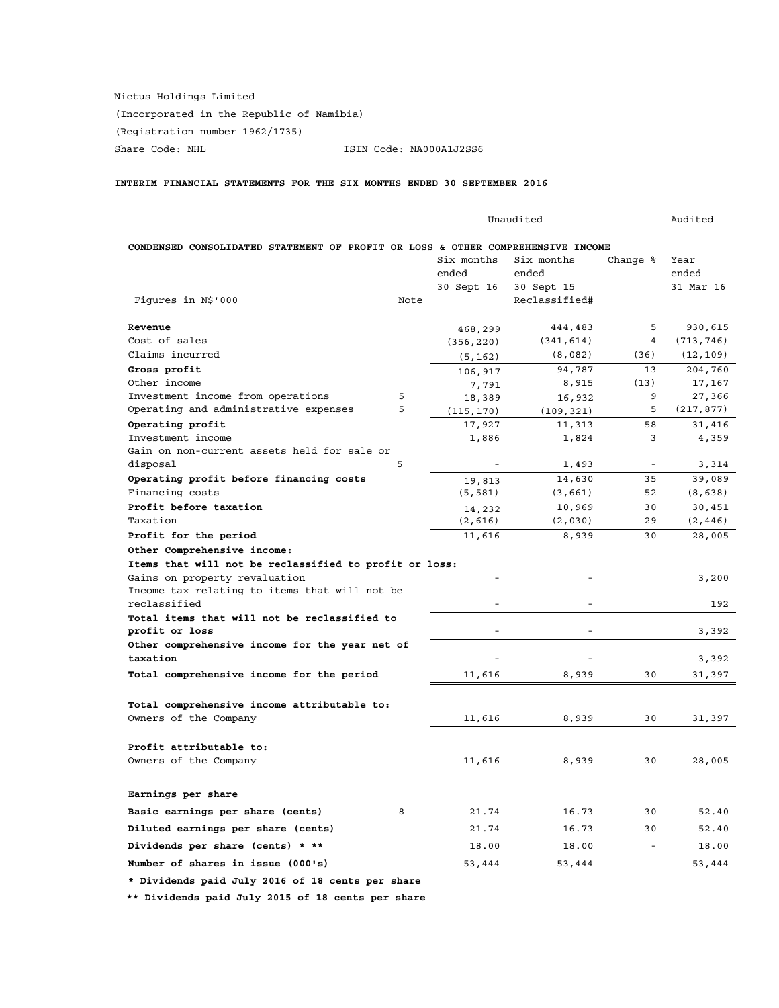Nictus Holdings Limited (Incorporated in the Republic of Namibia) (Registration number 1962/1735) Share Code: NHL ISIN Code: NA000A1J2SS6

# **INTERIM FINANCIAL STATEMENTS FOR THE SIX MONTHS ENDED 30 SEPTEMBER 2016**

| Unaudited                                                                       |      |            |               | Audited                  |            |
|---------------------------------------------------------------------------------|------|------------|---------------|--------------------------|------------|
| CONDENSED CONSOLIDATED STATEMENT OF PROFIT OR LOSS & OTHER COMPREHENSIVE INCOME |      |            |               |                          |            |
|                                                                                 |      | Six months | Six months    | Change %                 | Year       |
|                                                                                 |      | ended      | ended         |                          | ended      |
|                                                                                 |      | 30 Sept 16 | 30 Sept 15    |                          | 31 Mar 16  |
| Figures in N\$'000                                                              | Note |            | Reclassified# |                          |            |
|                                                                                 |      |            |               |                          |            |
| Revenue                                                                         |      | 468,299    | 444,483       | 5                        | 930,615    |
| Cost of sales                                                                   |      | (356, 220) | (341, 614)    | 4                        | (713, 746) |
| Claims incurred                                                                 |      | (5, 162)   | (8,082)       | (36)                     | (12, 109)  |
| Gross profit                                                                    |      | 106,917    | 94,787        | 13                       | 204,760    |
| Other income                                                                    |      | 7,791      | 8,915         | (13)                     | 17,167     |
| Investment income from operations                                               | 5    | 18,389     | 16,932        | 9                        | 27,366     |
| Operating and administrative expenses                                           | 5    | (115, 170) | (109, 321)    | 5                        | (217, 877) |
| Operating profit                                                                |      | 17,927     | 11,313        | 58                       | 31,416     |
| Investment income                                                               |      | 1,886      | 1,824         | 3                        | 4,359      |
| Gain on non-current assets held for sale or                                     |      |            |               |                          |            |
| disposal                                                                        | 5    |            | 1,493         |                          | 3,314      |
| Operating profit before financing costs                                         |      | 19,813     | 14,630        | 35                       | 39,089     |
| Financing costs                                                                 |      | (5, 581)   | (3,661)       | 52                       | (8, 638)   |
| Profit before taxation                                                          |      | 14,232     | 10,969        | 30                       | 30,451     |
| Taxation                                                                        |      | (2,616)    | (2,030)       | 29                       | (2, 446)   |
| Profit for the period                                                           |      | 11,616     | 8,939         | 30                       | 28,005     |
| Other Comprehensive income:                                                     |      |            |               |                          |            |
| Items that will not be reclassified to profit or loss:                          |      |            |               |                          |            |
| Gains on property revaluation                                                   |      |            |               |                          | 3,200      |
| Income tax relating to items that will not be                                   |      |            |               |                          |            |
| reclassified                                                                    |      |            |               |                          | 192        |
| Total items that will not be reclassified to                                    |      |            |               |                          |            |
| profit or loss                                                                  |      | ٠          |               |                          | 3,392      |
| Other comprehensive income for the year net of<br>taxation                      |      |            |               |                          |            |
|                                                                                 |      |            |               |                          | 3,392      |
| Total comprehensive income for the period                                       |      | 11,616     | 8,939         | 30                       | 31,397     |
|                                                                                 |      |            |               |                          |            |
| Total comprehensive income attributable to:                                     |      |            |               |                          |            |
| Owners of the Company                                                           |      | 11,616     | 8,939         | 30                       | 31,397     |
|                                                                                 |      |            |               |                          |            |
| Profit attributable to:                                                         |      |            |               |                          |            |
| Owners of the Company                                                           |      | 11,616     | 8,939         | 30                       | 28,005     |
|                                                                                 |      |            |               |                          |            |
| Earnings per share                                                              |      |            |               |                          |            |
| Basic earnings per share (cents)                                                | 8    | 21.74      | 16.73         | 30                       | 52.40      |
| Diluted earnings per share (cents)                                              |      | 21.74      | 16.73         | 30                       | 52.40      |
| Dividends per share (cents) * **                                                |      | 18.00      | 18.00         | $\overline{\phantom{a}}$ | 18.00      |
| Number of shares in issue (000's)                                               |      | 53,444     | 53,444        |                          | 53,444     |
| * Dividends paid July 2016 of 18 cents per share                                |      |            |               |                          |            |

 **\*\* Dividends paid July 2015 of 18 cents per share**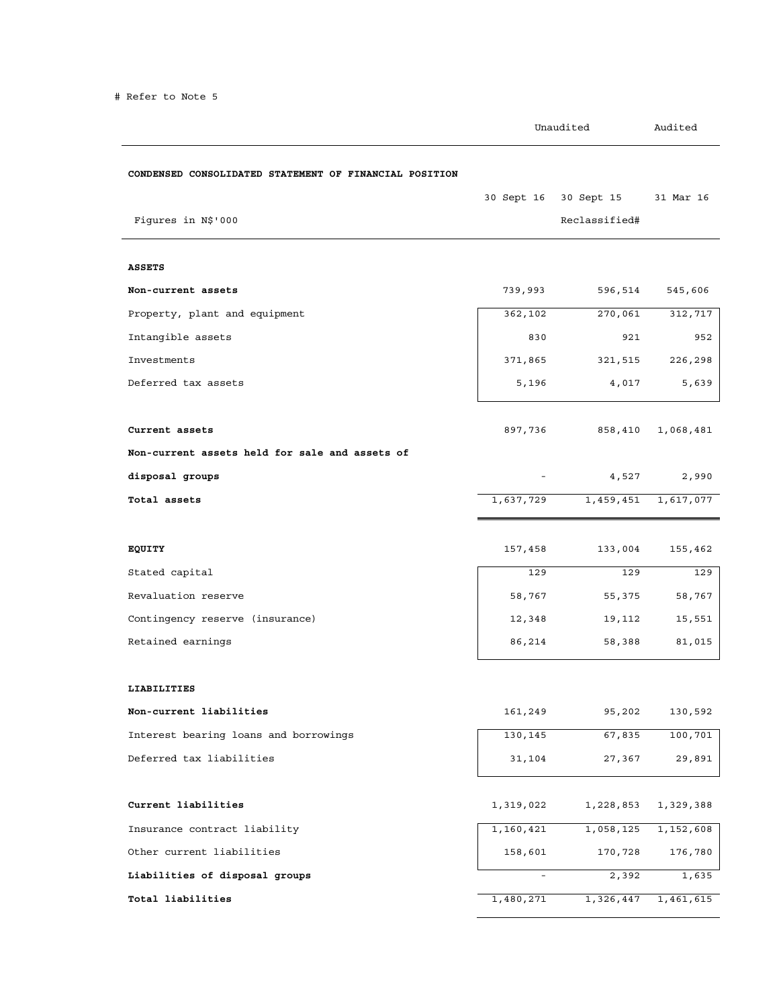|                                                        | Unaudited |                                        | Audited   |
|--------------------------------------------------------|-----------|----------------------------------------|-----------|
| CONDENSED CONSOLIDATED STATEMENT OF FINANCIAL POSITION |           |                                        |           |
| Figures in N\$'000                                     |           | 30 Sept 16 30 Sept 15<br>Reclassified# | 31 Mar 16 |
| <b>ASSETS</b>                                          |           |                                        |           |
| Non-current assets                                     | 739,993   | 596,514                                | 545,606   |
| Property, plant and equipment                          | 362,102   | 270,061                                | 312,717   |
| Intangible assets                                      | 830       | 921                                    | 952       |
| Investments                                            | 371,865   | 321,515                                | 226,298   |
| Deferred tax assets                                    | 5,196     | 4,017                                  | 5,639     |
|                                                        |           |                                        |           |
| Current assets                                         | 897,736   | 858,410                                | 1,068,481 |
| Non-current assets held for sale and assets of         |           |                                        |           |
| disposal groups                                        |           | 4,527                                  | 2,990     |
| Total assets                                           | 1,637,729 | 1,459,451                              | 1,617,077 |
|                                                        |           |                                        |           |
| EQUITY                                                 | 157,458   | 133,004                                | 155,462   |
| Stated capital                                         | 129       | 129                                    | 129       |
| Revaluation reserve                                    | 58,767    | 55,375                                 | 58,767    |
| Contingency reserve (insurance)                        | 12,348    | 19,112                                 | 15,551    |
| Retained earnings                                      | 86,214    | 58,388                                 | 81,015    |
| LIABILITIES                                            |           |                                        |           |
| Non-current liabilities                                | 161,249   | 95,202                                 | 130,592   |
| Interest bearing loans and borrowings                  | 130,145   | 67,835                                 | 100,701   |
| Deferred tax liabilities                               | 31,104    | 27,367                                 | 29,891    |
| Current liabilities                                    | 1,319,022 | 1,228,853                              | 1,329,388 |
| Insurance contract liability                           | 1,160,421 | 1,058,125                              | 1,152,608 |
| Other current liabilities                              | 158,601   | 170,728                                | 176,780   |
| Liabilities of disposal groups                         |           | 2,392                                  | 1,635     |
| Total liabilities                                      | 1,480,271 | 1,326,447                              | 1,461,615 |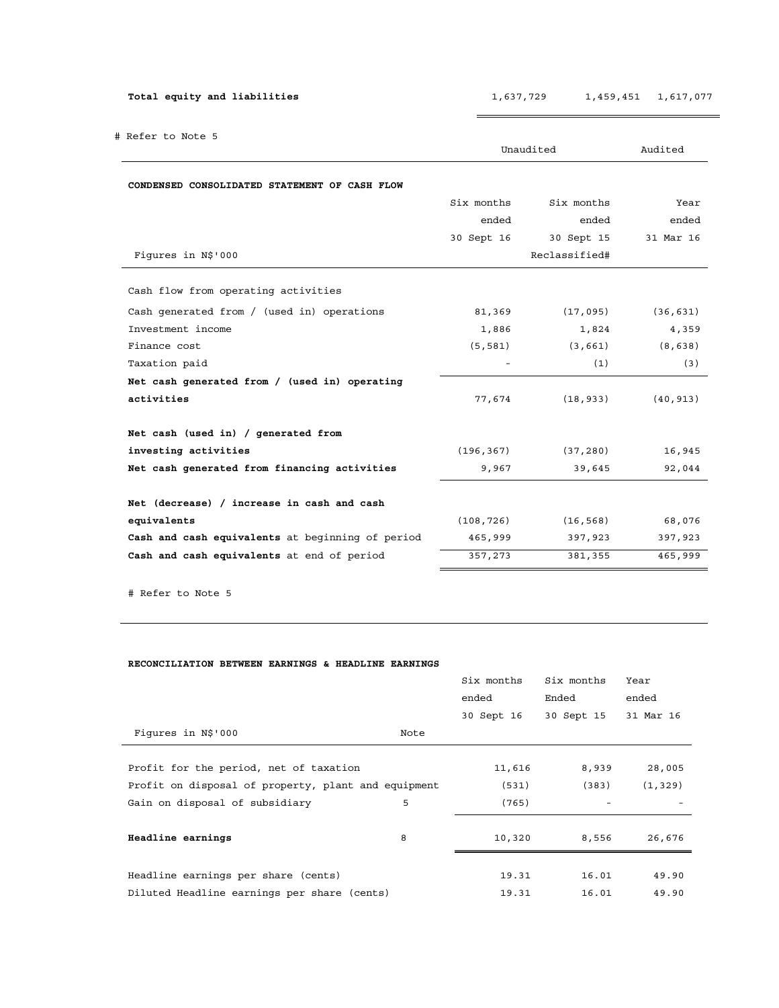| Total equity and liabilities                     | 1,637,729  |               | 1,459,451<br>1,617,077 |  |  |
|--------------------------------------------------|------------|---------------|------------------------|--|--|
| # Refer to Note 5                                |            | Unaudited     | Audited                |  |  |
| CONDENSED CONSOLIDATED STATEMENT OF CASH FLOW    |            |               |                        |  |  |
|                                                  | Six months | Six months    | Year                   |  |  |
|                                                  | ended      | ended         | ended                  |  |  |
|                                                  | 30 Sept 16 | 30 Sept 15    | 31 Mar 16              |  |  |
| Fiqures in N\$'000                               |            | Reclassified# |                        |  |  |
| Cash flow from operating activities              |            |               |                        |  |  |
| Cash generated from / (used in) operations       | 81,369     | (17,095)      | (36, 631)              |  |  |
| Investment income                                | 1,886      | 1,824         | 4,359                  |  |  |
| Finance cost                                     | (5, 581)   | (3, 661)      | (8, 638)               |  |  |
| Taxation paid                                    |            | (1)           | (3)                    |  |  |
| Net cash generated from / (used in) operating    |            |               |                        |  |  |
| activities                                       | 77,674     | (18, 933)     | (40, 913)              |  |  |
| Net cash (used in) / generated from              |            |               |                        |  |  |
| investing activities                             | (196, 367) | (37, 280)     | 16,945                 |  |  |
| Net cash generated from financing activities     | 9,967      | 39,645        | 92,044                 |  |  |
| Net (decrease) / increase in cash and cash       |            |               |                        |  |  |
| equivalents                                      | (108, 726) | (16, 568)     | 68,076                 |  |  |
| Cash and cash equivalents at beginning of period | 465,999    | 397,923       | 397,923                |  |  |
| Cash and cash equivalents at end of period       | 357,273    | 381,355       | 465,999                |  |  |

# Refer to Note 5

## **RECONCILIATION BETWEEN EARNINGS & HEADLINE EARNINGS**

|                                                     |      | Six months | Six months | Year      |
|-----------------------------------------------------|------|------------|------------|-----------|
|                                                     |      | ended      | Ended      | ended     |
|                                                     |      | 30 Sept 16 | 30 Sept 15 | 31 Mar 16 |
| Figures in N\$'000                                  | Note |            |            |           |
|                                                     |      |            |            |           |
| Profit for the period, net of taxation              |      | 11,616     | 8,939      | 28,005    |
| Profit on disposal of property, plant and equipment |      | (531)      | (383)      | (1, 329)  |
| Gain on disposal of subsidiary                      | 5    | (765)      |            |           |
|                                                     |      |            |            |           |
| Headline earnings                                   | 8    | 10,320     | 8,556      | 26,676    |
|                                                     |      |            |            |           |
| Headline earnings per share (cents)                 |      | 19.31      | 16.01      | 49.90     |
| Diluted Headline earnings per share (cents)         |      | 19.31      | 16.01      | 49.90     |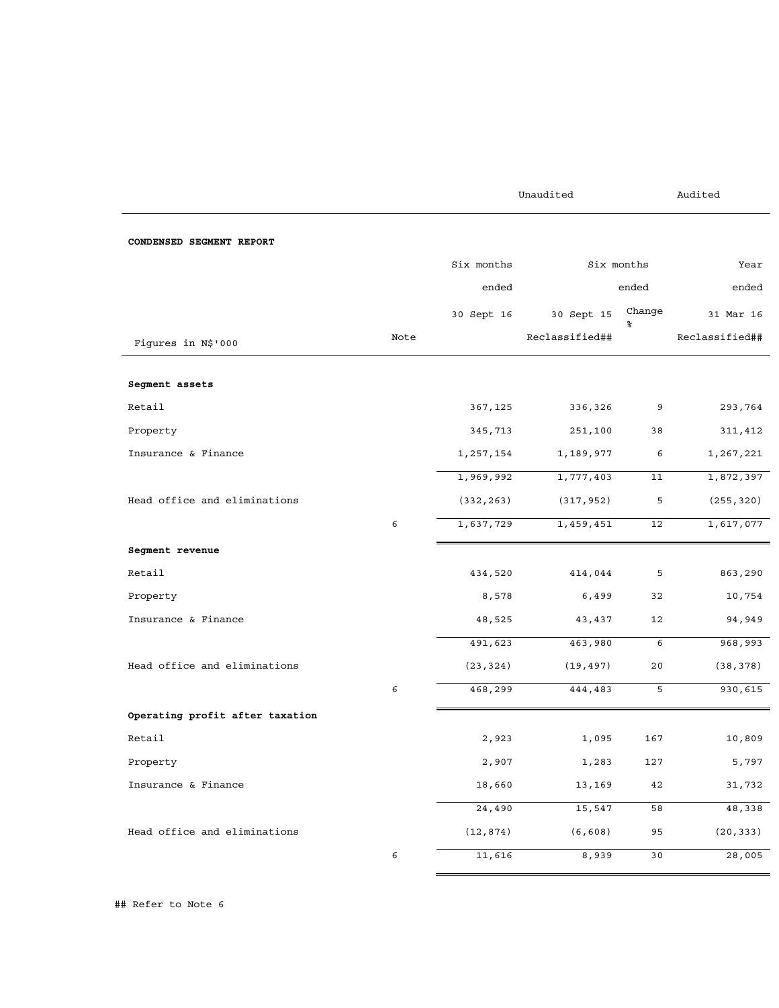Unaudited Audited

| CONDENSED SEGMENT REPORT        |      |                |                |                   |                |
|---------------------------------|------|----------------|----------------|-------------------|----------------|
|                                 |      | Six months     |                | Six months        |                |
|                                 |      | ended<br>ended |                |                   |                |
|                                 |      | 30 Sept 16     | 30 Sept 15     | Change<br>နွ      | 31 Mar 16      |
| Fiqures in N\$'000              | Note |                | Reclassified## |                   | Reclassified## |
| Segment assets                  |      |                |                |                   |                |
| Retail                          |      | 367,125        | 336,326        | 9                 | 293,764        |
| Property                        |      | 345,713        | 251,100        | 38                | 311,412        |
| Insurance & Finance             |      | 1,257,154      | 1,189,977      | 6                 | 1,267,221      |
|                                 |      | 1,969,992      | 1,777,403      | 11                | 1,872,397      |
| Head office and eliminations    |      | (332, 263)     | (317, 952)     | 5                 | (255, 320)     |
|                                 | 6    | 1,637,729      | 1,459,451      | 12                | 1,617,077      |
| Segment revenue                 |      |                |                |                   |                |
| Retail                          |      | 434,520        | 414,044        | 5                 | 863,290        |
| Property                        |      | 8,578          | 6,499          | 32                | 10,754         |
| Insurance & Finance             |      | 48,525         | 43,437         | $12 \overline{ }$ | 94,949         |
|                                 |      | 491,623        | 463,980        | 6                 | 968,993        |
| Head office and eliminations    |      | (23, 324)      | (19, 497)      | 20                | (38, 378)      |
|                                 | 6    | 468,299        | 444,483        | 5                 | 930,615        |
| Operating profit after taxation |      |                |                |                   |                |
| Retail                          |      | 2,923          | 1,095          | 167               | 10,809         |
| Property                        |      | 2,907          | 1,283          | 127               | 5,797          |
| Insurance & Finance             |      | 18,660         | 13,169         | 42                | 31,732         |
|                                 |      | 24,490         | 15,547         | 58                | 48,338         |
| Head office and eliminations    |      | (12, 874)      | (6, 608)       | 95                | (20, 333)      |
|                                 | 6    | 11,616         | 8,939          | 30                | 28,005         |

## Refer to Note 6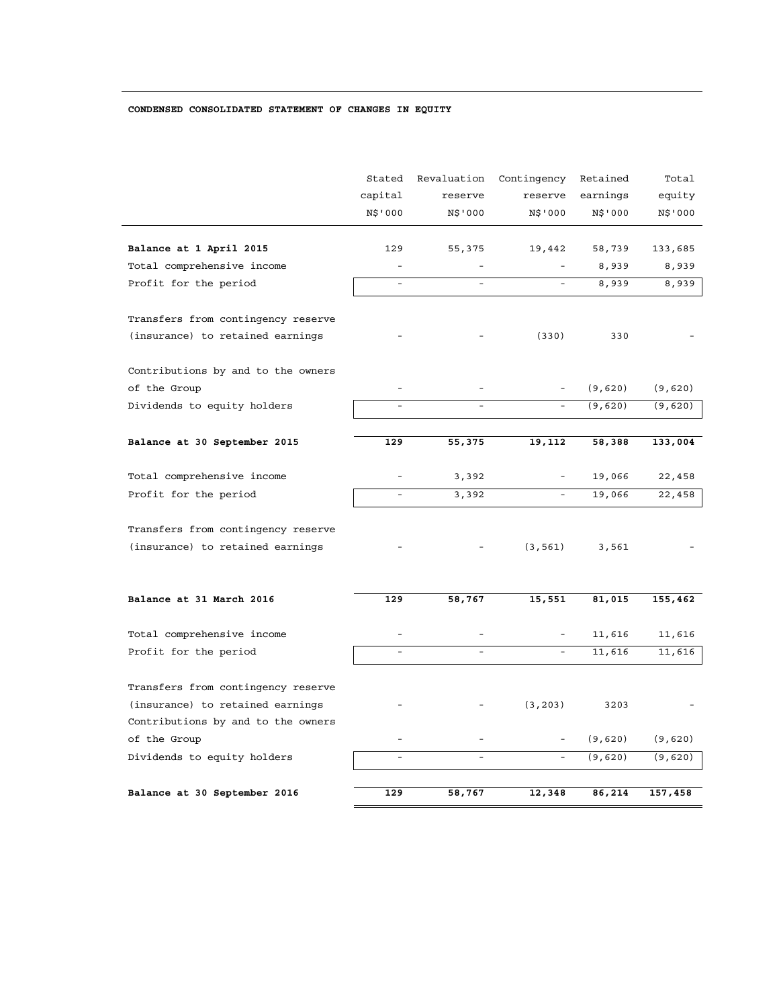# **CONDENSED CONSOLIDATED STATEMENT OF CHANGES IN EQUITY**

|                                    | Stated<br>capital<br>N\$'000 | Revaluation<br>reserve<br>N\$'000 | Contingency<br>reserve<br>N\$'000 | Retained<br>earnings<br>N\$'000 | Total<br>equity<br>N\$'000 |
|------------------------------------|------------------------------|-----------------------------------|-----------------------------------|---------------------------------|----------------------------|
| Balance at 1 April 2015            | 129                          | 55,375                            | 19,442                            | 58,739                          | 133,685                    |
| Total comprehensive income         | $\overline{\phantom{a}}$     | $\overline{\phantom{a}}$          |                                   | 8,939                           | 8,939                      |
| Profit for the period              | $\blacksquare$               | $\blacksquare$                    |                                   | 8,939                           | 8,939                      |
| Transfers from contingency reserve |                              |                                   |                                   |                                 |                            |
| (insurance) to retained earnings   |                              |                                   | (330)                             | 330                             |                            |
| Contributions by and to the owners |                              |                                   |                                   |                                 |                            |
| of the Group                       |                              |                                   |                                   | (9,620)                         | (9,620)                    |
| Dividends to equity holders        | $\overline{\phantom{a}}$     | $\overline{a}$                    | $\overline{\phantom{a}}$          | (9, 620)                        | (9,620)                    |
| Balance at 30 September 2015       | 129                          | 55,375                            | 19,112                            | 58,388                          | 133,004                    |
|                                    |                              |                                   |                                   |                                 |                            |
| Total comprehensive income         |                              | 3,392                             |                                   | 19,066                          | 22,458                     |
| Profit for the period              | $\equiv$                     | 3,392                             |                                   | 19,066                          | 22,458                     |
| Transfers from contingency reserve |                              |                                   |                                   |                                 |                            |
| (insurance) to retained earnings   |                              |                                   | (3, 561)                          | 3,561                           |                            |
|                                    |                              |                                   |                                   |                                 |                            |
| Balance at 31 March 2016           | 129                          | 58,767                            | 15,551                            | 81,015                          | 155,462                    |
| Total comprehensive income         |                              |                                   |                                   | 11,616                          | 11,616                     |
| Profit for the period              | $\equiv$                     | $\overline{a}$                    |                                   | 11,616                          | 11,616                     |
| Transfers from contingency reserve |                              |                                   |                                   |                                 |                            |
| (insurance) to retained earnings   |                              |                                   | (3, 203)                          | 3203                            |                            |
| Contributions by and to the owners |                              |                                   |                                   |                                 |                            |
| of the Group                       | $\equiv$                     | $\equiv$                          |                                   | (9,620)                         | (9,620)                    |
| Dividends to equity holders        | $\equiv$                     | $\equiv$                          | $\overline{\phantom{a}}$          | (9,620)                         | (9,620)                    |
| Balance at 30 September 2016       | 129                          | 58,767                            | 12,348                            | 86,214                          | 157,458                    |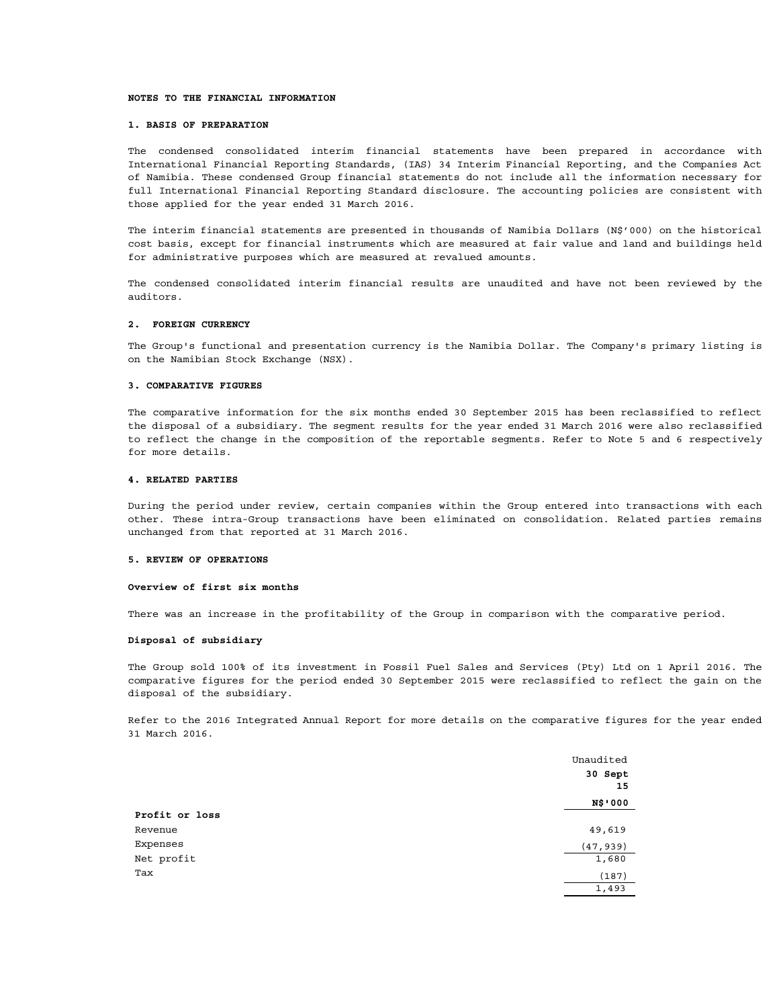#### **NOTES TO THE FINANCIAL INFORMATION**

#### **1. BASIS OF PREPARATION**

The condensed consolidated interim financial statements have been prepared in accordance with International Financial Reporting Standards, (IAS) 34 Interim Financial Reporting, and the Companies Act of Namibia. These condensed Group financial statements do not include all the information necessary for full International Financial Reporting Standard disclosure. The accounting policies are consistent with those applied for the year ended 31 March 2016.

The interim financial statements are presented in thousands of Namibia Dollars (N\$'000) on the historical cost basis, except for financial instruments which are measured at fair value and land and buildings held for administrative purposes which are measured at revalued amounts.

The condensed consolidated interim financial results are unaudited and have not been reviewed by the auditors.

#### **2. FOREIGN CURRENCY**

The Group's functional and presentation currency is the Namibia Dollar. The Company's primary listing is on the Namibian Stock Exchange (NSX).

### **3. COMPARATIVE FIGURES**

The comparative information for the six months ended 30 September 2015 has been reclassified to reflect the disposal of a subsidiary. The segment results for the year ended 31 March 2016 were also reclassified to reflect the change in the composition of the reportable segments. Refer to Note 5 and 6 respectively for more details.

#### **4. RELATED PARTIES**

During the period under review, certain companies within the Group entered into transactions with each other. These intra-Group transactions have been eliminated on consolidation. Related parties remains unchanged from that reported at 31 March 2016.

#### **5. REVIEW OF OPERATIONS**

#### **Overview of first six months**

There was an increase in the profitability of the Group in comparison with the comparative period.

## **Disposal of subsidiary**

The Group sold 100% of its investment in Fossil Fuel Sales and Services (Pty) Ltd on 1 April 2016. The comparative figures for the period ended 30 September 2015 were reclassified to reflect the gain on the disposal of the subsidiary.

Refer to the 2016 Integrated Annual Report for more details on the comparative figures for the year ended 31 March 2016.

|                | Unaudited |
|----------------|-----------|
|                | 30 Sept   |
|                | 15        |
|                | N\$'000   |
| Profit or loss |           |
| Revenue        | 49,619    |
| Expenses       | (47, 939) |
| Net profit     | 1,680     |
| Tax            | (187)     |
|                | 1,493     |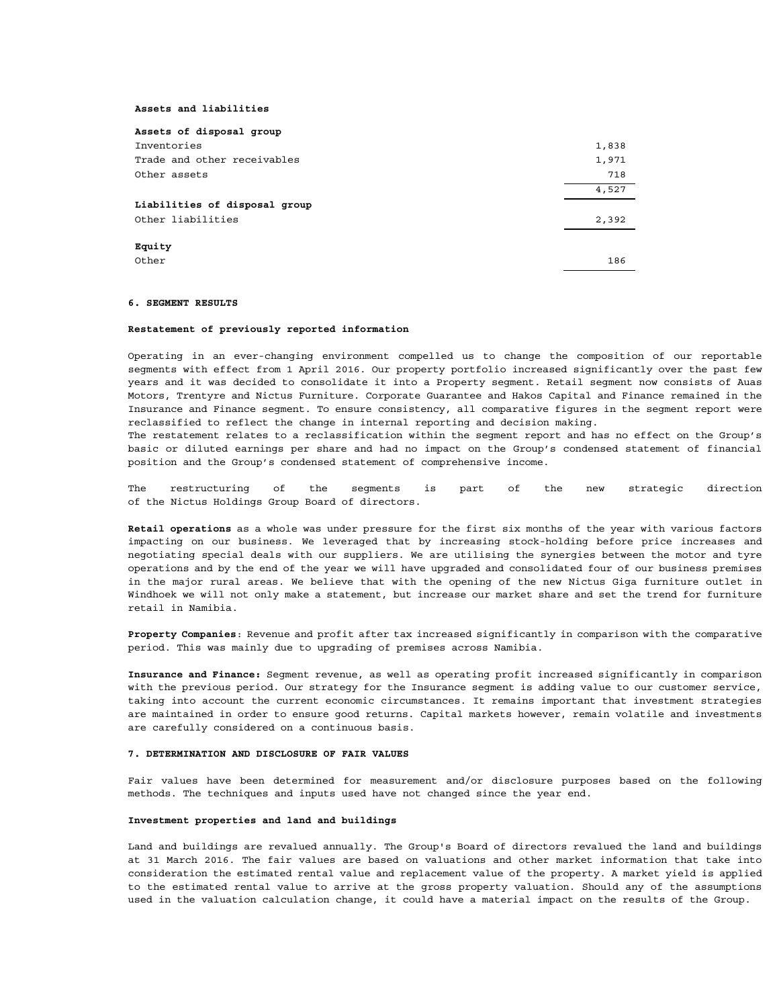#### **Assets and liabilities**

| Assets of disposal group      |       |
|-------------------------------|-------|
| Inventories                   | 1,838 |
| Trade and other receivables   | 1,971 |
| Other assets                  | 718   |
|                               | 4,527 |
| Liabilities of disposal group |       |
| Other liabilities             | 2,392 |
| Equity                        |       |
|                               |       |
| Other                         | 186   |

#### **6. SEGMENT RESULTS**

#### **Restatement of previously reported information**

Operating in an ever-changing environment compelled us to change the composition of our reportable segments with effect from 1 April 2016. Our property portfolio increased significantly over the past few years and it was decided to consolidate it into a Property segment. Retail segment now consists of Auas Motors, Trentyre and Nictus Furniture. Corporate Guarantee and Hakos Capital and Finance remained in the Insurance and Finance segment. To ensure consistency, all comparative figures in the segment report were reclassified to reflect the change in internal reporting and decision making.

The restatement relates to a reclassification within the segment report and has no effect on the Group's basic or diluted earnings per share and had no impact on the Group's condensed statement of financial position and the Group's condensed statement of comprehensive income.

The restructuring of the segments is part of the new strategic direction of the Nictus Holdings Group Board of directors.

**Retail operations** as a whole was under pressure for the first six months of the year with various factors impacting on our business. We leveraged that by increasing stock-holding before price increases and negotiating special deals with our suppliers. We are utilising the synergies between the motor and tyre operations and by the end of the year we will have upgraded and consolidated four of our business premises in the major rural areas. We believe that with the opening of the new Nictus Giga furniture outlet in Windhoek we will not only make a statement, but increase our market share and set the trend for furniture retail in Namibia.

**Property Companies**: Revenue and profit after tax increased significantly in comparison with the comparative period. This was mainly due to upgrading of premises across Namibia.

**Insurance and Finance:** Segment revenue, as well as operating profit increased significantly in comparison with the previous period. Our strategy for the Insurance segment is adding value to our customer service, taking into account the current economic circumstances. It remains important that investment strategies are maintained in order to ensure good returns. Capital markets however, remain volatile and investments are carefully considered on a continuous basis.

#### **7. DETERMINATION AND DISCLOSURE OF FAIR VALUES**

Fair values have been determined for measurement and/or disclosure purposes based on the following methods. The techniques and inputs used have not changed since the year end.

## **Investment properties and land and buildings**

Land and buildings are revalued annually. The Group's Board of directors revalued the land and buildings at 31 March 2016. The fair values are based on valuations and other market information that take into consideration the estimated rental value and replacement value of the property. A market yield is applied to the estimated rental value to arrive at the gross property valuation. Should any of the assumptions used in the valuation calculation change, it could have a material impact on the results of the Group.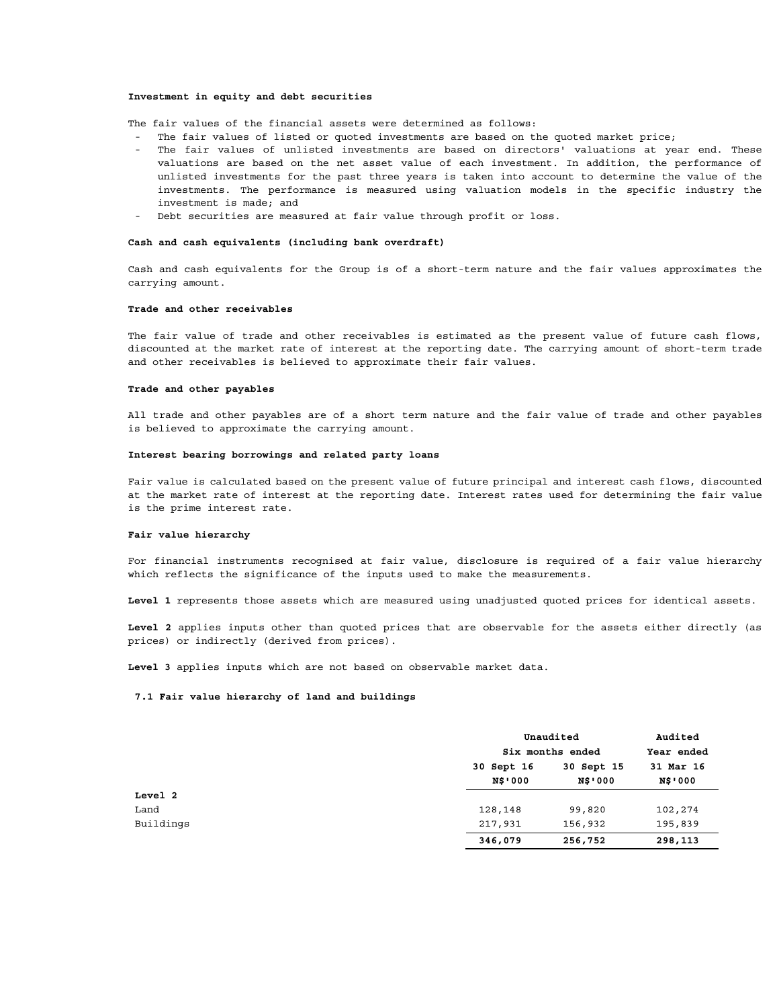#### **Investment in equity and debt securities**

The fair values of the financial assets were determined as follows:

- The fair values of listed or quoted investments are based on the quoted market price;
- The fair values of unlisted investments are based on directors' valuations at year end. These valuations are based on the net asset value of each investment. In addition, the performance of unlisted investments for the past three years is taken into account to determine the value of the investments. The performance is measured using valuation models in the specific industry the investment is made; and
- Debt securities are measured at fair value through profit or loss.

### **Cash and cash equivalents (including bank overdraft)**

Cash and cash equivalents for the Group is of a short-term nature and the fair values approximates the carrying amount.

### **Trade and other receivables**

The fair value of trade and other receivables is estimated as the present value of future cash flows, discounted at the market rate of interest at the reporting date. The carrying amount of short-term trade and other receivables is believed to approximate their fair values.

#### **Trade and other payables**

All trade and other payables are of a short term nature and the fair value of trade and other payables is believed to approximate the carrying amount.

#### **Interest bearing borrowings and related party loans**

Fair value is calculated based on the present value of future principal and interest cash flows, discounted at the market rate of interest at the reporting date. Interest rates used for determining the fair value is the prime interest rate.

### **Fair value hierarchy**

For financial instruments recognised at fair value, disclosure is required of a fair value hierarchy which reflects the significance of the inputs used to make the measurements.

**Level 1** represents those assets which are measured using unadjusted quoted prices for identical assets.

**Level 2** applies inputs other than quoted prices that are observable for the assets either directly (as prices) or indirectly (derived from prices).

**Level 3** applies inputs which are not based on observable market data.

#### **7.1 Fair value hierarchy of land and buildings**

|           |                | Unaudited<br>Six months ended |                |
|-----------|----------------|-------------------------------|----------------|
|           |                |                               |                |
|           | 30 Sept 16     | 30 Sept 15                    | 31 Mar 16      |
|           | <b>N\$'000</b> | <b>N\$'000</b>                | <b>N\$'000</b> |
| Level 2   |                |                               |                |
| Land      | 128,148        | 99,820                        | 102,274        |
| Buildings | 217,931        | 156,932                       | 195,839        |
|           | 346,079        | 256,752                       | 298,113        |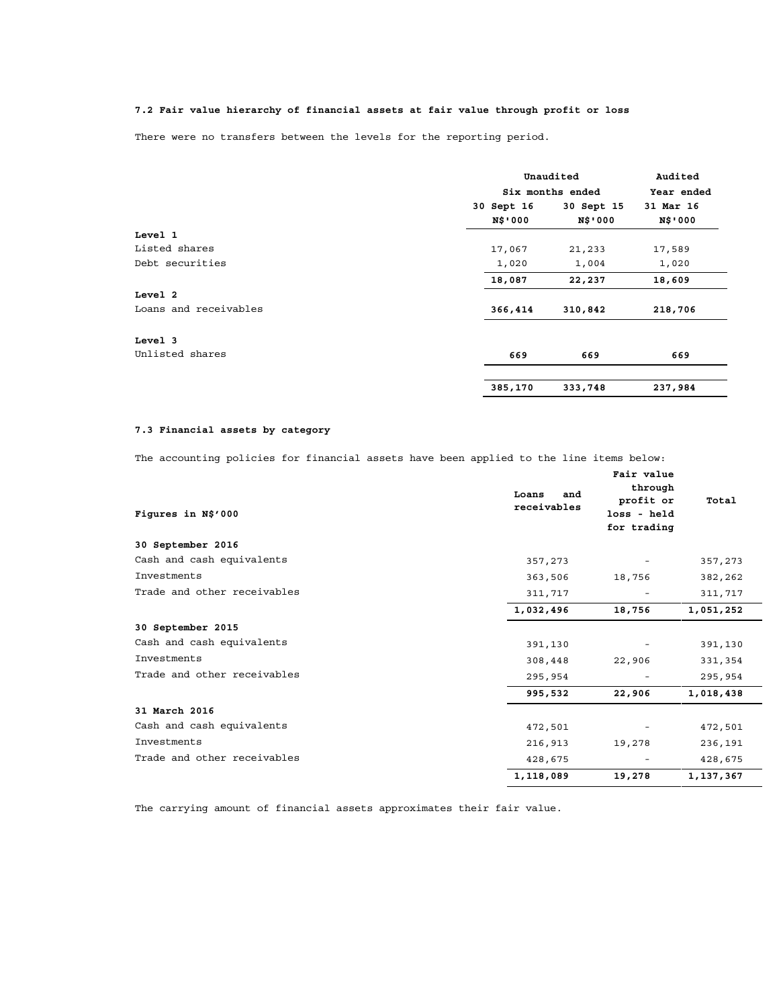# **7.2 Fair value hierarchy of financial assets at fair value through profit or loss**

There were no transfers between the levels for the reporting period.

|                       |            | Unaudited<br>Six months ended |           |  |
|-----------------------|------------|-------------------------------|-----------|--|
|                       |            |                               |           |  |
|                       | 30 Sept 16 | 30 Sept 15                    | 31 Mar 16 |  |
|                       | N\$'000    | <b>N\$'000</b>                | N\$'000   |  |
| Level 1               |            |                               |           |  |
| Listed shares         | 17,067     | 21,233                        | 17,589    |  |
| Debt securities       | 1,020      | 1,004                         | 1,020     |  |
|                       | 18,087     | 22,237                        | 18,609    |  |
| Level 2               |            |                               |           |  |
| Loans and receivables | 366,414    | 310,842                       | 218,706   |  |
| Level 3               |            |                               |           |  |
| Unlisted shares       | 669        | 669                           | 669       |  |
|                       | 385,170    | 333,748                       | 237,984   |  |

## **7.3 Financial assets by category**

The accounting policies for financial assets have been applied to the line items below:

| Figures in N\$'000          | Loans<br>and<br>receivables | Fair value<br>through<br>profit or<br>loss - held<br>for trading | Total     |
|-----------------------------|-----------------------------|------------------------------------------------------------------|-----------|
| 30 September 2016           |                             |                                                                  |           |
| Cash and cash equivalents   | 357,273                     |                                                                  | 357,273   |
| Investments                 | 363,506                     | 18,756                                                           | 382,262   |
| Trade and other receivables | 311,717                     |                                                                  | 311,717   |
|                             | 1,032,496                   | 18,756                                                           | 1,051,252 |
| 30 September 2015           |                             |                                                                  |           |
| Cash and cash equivalents   | 391,130                     |                                                                  | 391,130   |
| Investments                 | 308,448                     | 22,906                                                           | 331,354   |
| Trade and other receivables | 295,954                     |                                                                  | 295,954   |
|                             | 995,532                     | 22,906                                                           | 1,018,438 |
| 31 March 2016               |                             |                                                                  |           |
| Cash and cash equivalents   | 472,501                     |                                                                  | 472,501   |
| Investments                 | 216,913                     | 19,278                                                           | 236,191   |
| Trade and other receivables | 428,675                     | $\qquad \qquad -$                                                | 428,675   |
|                             | 1,118,089                   | 19,278                                                           | 1,137,367 |

The carrying amount of financial assets approximates their fair value.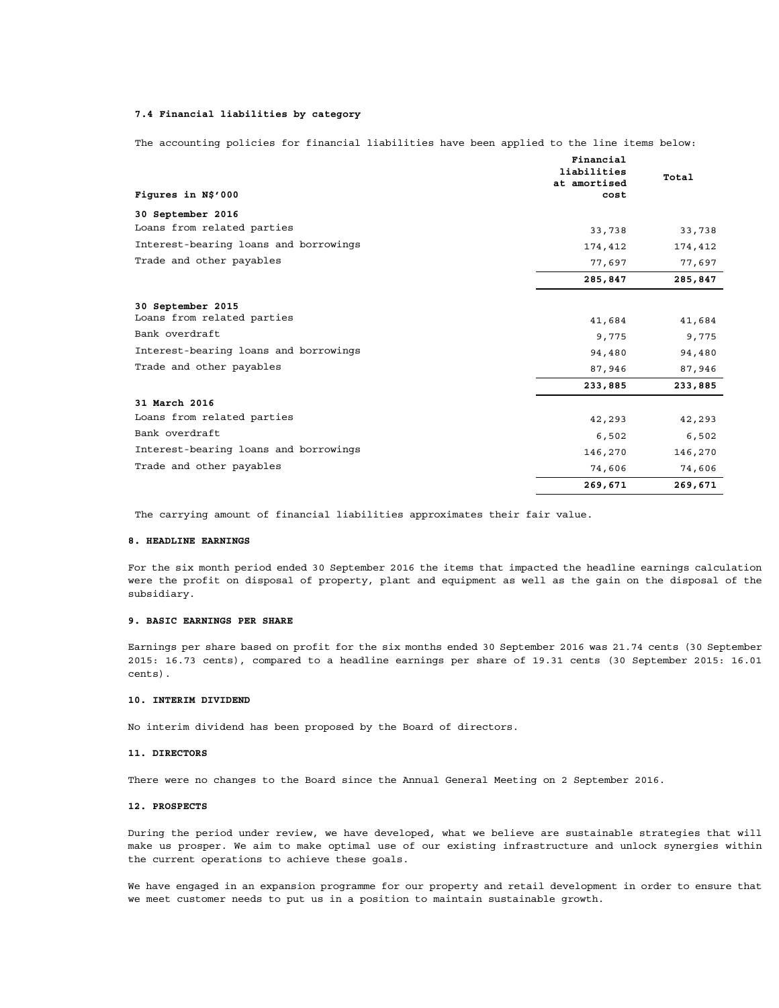## **7.4 Financial liabilities by category**

|                                       | Financial<br>liabilities<br>at amortised | Total   |
|---------------------------------------|------------------------------------------|---------|
| Figures in N\$'000                    | cost                                     |         |
| 30 September 2016                     |                                          |         |
| Loans from related parties            | 33,738                                   | 33,738  |
| Interest-bearing loans and borrowings | 174,412                                  | 174,412 |
| Trade and other payables              | 77,697                                   | 77,697  |
|                                       | 285,847                                  | 285,847 |
| 30 September 2015                     |                                          |         |
| Loans from related parties            | 41,684                                   | 41,684  |
| Bank overdraft                        | 9,775                                    | 9,775   |
| Interest-bearing loans and borrowings | 94,480                                   | 94,480  |
| Trade and other payables              | 87,946                                   | 87,946  |
|                                       | 233,885                                  | 233,885 |
| 31 March 2016                         |                                          |         |
| Loans from related parties            | 42,293                                   | 42,293  |
| Bank overdraft                        | 6,502                                    | 6,502   |
| Interest-bearing loans and borrowings | 146,270                                  | 146,270 |
| Trade and other payables              | 74,606                                   | 74,606  |
|                                       | 269,671                                  | 269,671 |

The accounting policies for financial liabilities have been applied to the line items below:

The carrying amount of financial liabilities approximates their fair value.

#### **8. HEADLINE EARNINGS**

For the six month period ended 30 September 2016 the items that impacted the headline earnings calculation were the profit on disposal of property, plant and equipment as well as the gain on the disposal of the subsidiary.

#### **9. BASIC EARNINGS PER SHARE**

Earnings per share based on profit for the six months ended 30 September 2016 was 21.74 cents (30 September 2015: 16.73 cents), compared to a headline earnings per share of 19.31 cents (30 September 2015: 16.01 cents).

## **10. INTERIM DIVIDEND**

No interim dividend has been proposed by the Board of directors.

#### **11. DIRECTORS**

There were no changes to the Board since the Annual General Meeting on 2 September 2016.

## **12. PROSPECTS**

During the period under review, we have developed, what we believe are sustainable strategies that will make us prosper. We aim to make optimal use of our existing infrastructure and unlock synergies within the current operations to achieve these goals.

We have engaged in an expansion programme for our property and retail development in order to ensure that we meet customer needs to put us in a position to maintain sustainable growth.